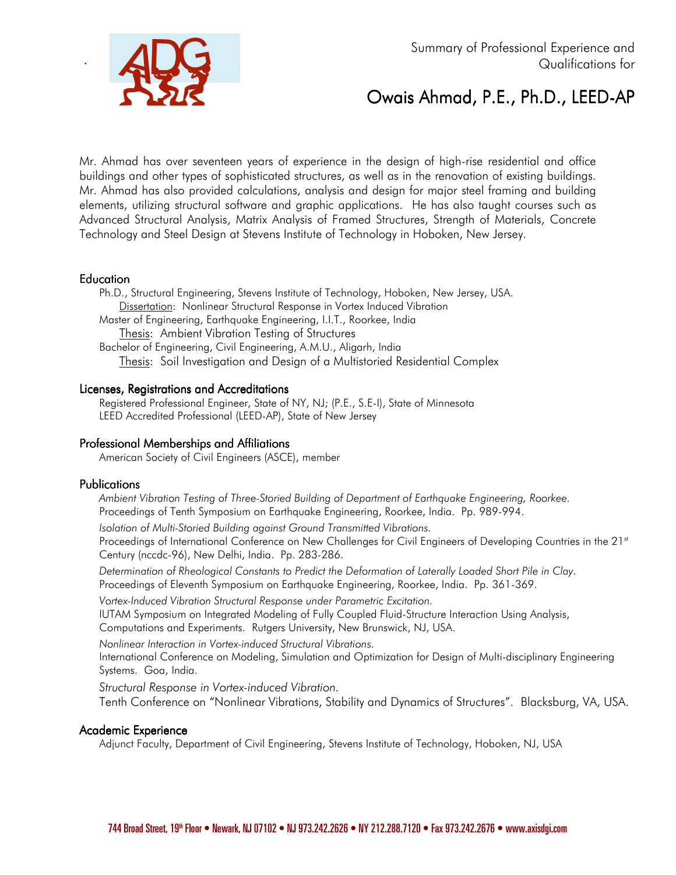



# Owais Ahmad, P.E., Ph.D., LEED-AP

Mr. Ahmad has over seventeen years of experience in the design of high-rise residential and office buildings and other types of sophisticated structures, as well as in the renovation of existing buildings. Mr. Ahmad has also provided calculations, analysis and design for major steel framing and building elements, utilizing structural software and graphic applications. He has also taught courses such as Advanced Structural Analysis, Matrix Analysis of Framed Structures, Strength of Materials, Concrete Technology and Steel Design at Stevens Institute of Technology in Hoboken, New Jersey.

#### Education

.

Ph.D., Structural Engineering, Stevens Institute of Technology, Hoboken, New Jersey, USA. Dissertation: Nonlinear Structural Response in Vortex Induced Vibration Master of Engineering, Earthquake Engineering, I.I.T., Roorkee, India Thesis: Ambient Vibration Testing of Structures Bachelor of Engineering, Civil Engineering, A.M.U., Aligarh, India Thesis: Soil Investigation and Design of a Multistoried Residential Complex

### Licenses, Registrations and Accreditations

Registered Professional Engineer, State of NY, NJ; (P.E., S.E-I), State of Minnesota LEED Accredited Professional (LEED-AP), State of New Jersey

## Professional Memberships and Affiliations

American Society of Civil Engineers (ASCE), member

#### **Publications**

*Ambient Vibration Testing of Three-Storied Building of Department of Earthquake Engineering, Roorkee.*  Proceedings of Tenth Symposium on Earthquake Engineering, Roorkee, India. Pp. 989-994.

*Isolation of Multi-Storied Building against Ground Transmitted Vibrations.*  Proceedings of International Conference on New Challenges for Civil Engineers of Developing Countries in the 21st Century (nccdc-96), New Delhi, India. Pp. 283-286.

*Determination of Rheological Constants to Predict the Deformation of Laterally Loaded Short Pile in Clay.*  Proceedings of Eleventh Symposium on Earthquake Engineering, Roorkee, India. Pp. 361-369.

*Vortex-Induced Vibration Structural Response under Parametric Excitation.* 

IUTAM Symposium on Integrated Modeling of Fully Coupled Fluid-Structure Interaction Using Analysis, Computations and Experiments. Rutgers University, New Brunswick, NJ, USA.

*Nonlinear Interaction in Vortex-induced Structural Vibrations.*

International Conference on Modeling, Simulation and Optimization for Design of Multi-disciplinary Engineering Systems. Goa, India.

*Structural Response in Vortex-induced Vibration.* Tenth Conference on "Nonlinear Vibrations, Stability and Dynamics of Structures". Blacksburg, VA, USA.

#### Academic Experience

Adjunct Faculty, Department of Civil Engineering, Stevens Institute of Technology, Hoboken, NJ, USA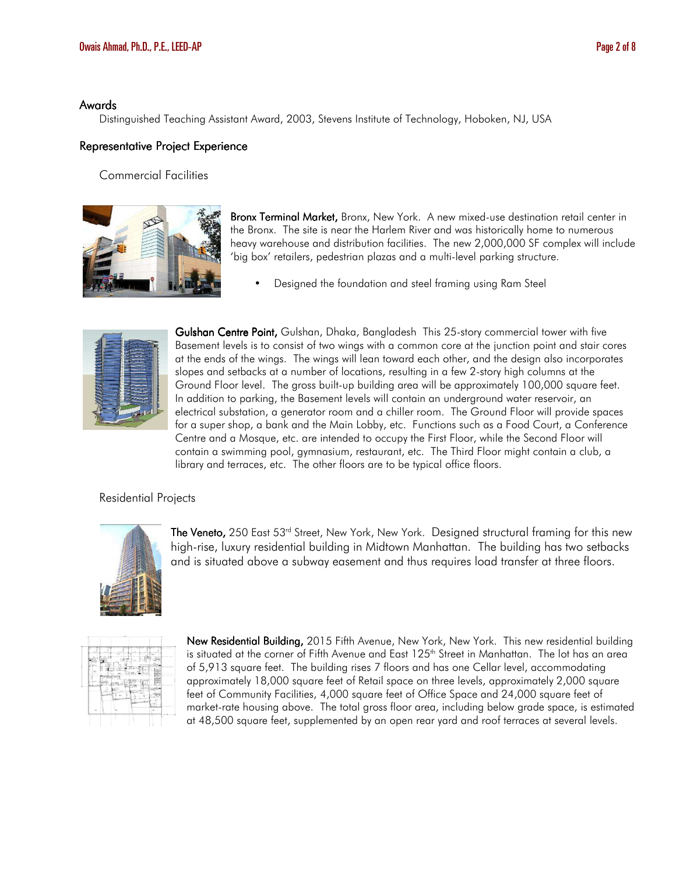#### Awards

Distinguished Teaching Assistant Award, 2003, Stevens Institute of Technology, Hoboken, NJ, USA

#### Representative Project Experience

#### Commercial Facilities



Bronx Terminal Market, Bronx, New York. A new mixed-use destination retail center in the Bronx. The site is near the Harlem River and was historically home to numerous heavy warehouse and distribution facilities. The new 2,000,000 SF complex will include 'big box' retailers, pedestrian plazas and a multi-level parking structure.

• Designed the foundation and steel framing using Ram Steel



Gulshan Centre Point, Gulshan, Dhaka, Bangladesh This 25-story commercial tower with five Basement levels is to consist of two wings with a common core at the junction point and stair cores at the ends of the wings. The wings will lean toward each other, and the design also incorporates slopes and setbacks at a number of locations, resulting in a few 2-story high columns at the Ground Floor level. The gross built-up building area will be approximately 100,000 square feet. In addition to parking, the Basement levels will contain an underground water reservoir, an electrical substation, a generator room and a chiller room. The Ground Floor will provide spaces for a super shop, a bank and the Main Lobby, etc. Functions such as a Food Court, a Conference Centre and a Mosque, etc. are intended to occupy the First Floor, while the Second Floor will contain a swimming pool, gymnasium, restaurant, etc. The Third Floor might contain a club, a library and terraces, etc. The other floors are to be typical office floors.

## Residential Projects



**The Veneto,** 250 East 53<sup>rd</sup> Street, New York, New York. Designed structural framing for this new high-rise, luxury residential building in Midtown Manhattan. The building has two setbacks and is situated above a subway easement and thus requires load transfer at three floors.

|                               |                    | ×.     |               |                 |
|-------------------------------|--------------------|--------|---------------|-----------------|
| н<br>$\overline{\phantom{a}}$ | re l<br>÷          |        | n e H         |                 |
|                               | н,                 |        | 22.           |                 |
| $\mathbb{R}^N_+$              |                    | $\sim$ | i finali<br>- | <b>Services</b> |
|                               | <b>CTIVES LIVE</b> |        | ٠             |                 |
| ٠                             | v                  | r<br>x | .<br>ъ<br>-   |                 |
|                               | $\mathbb{R}^n$     | 41     | ñ             |                 |
|                               |                    |        | ×<br>--       |                 |
| $\sim$                        | $1 -$              |        | $\sim$        |                 |
|                               |                    |        |               |                 |

New Residential Building, 2015 Fifth Avenue, New York, New York. This new residential building is situated at the corner of Fifth Avenue and East 125<sup>th</sup> Street in Manhattan. The lot has an area of 5,913 square feet. The building rises 7 floors and has one Cellar level, accommodating approximately 18,000 square feet of Retail space on three levels, approximately 2,000 square feet of Community Facilities, 4,000 square feet of Office Space and 24,000 square feet of market-rate housing above. The total gross floor area, including below grade space, is estimated at 48,500 square feet, supplemented by an open rear yard and roof terraces at several levels.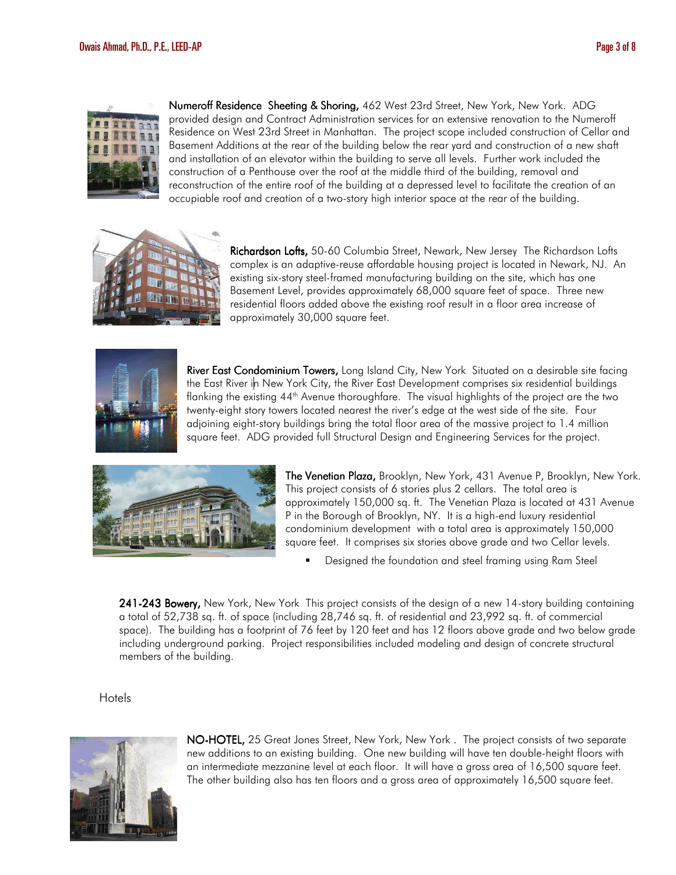

Numeroff Residence Sheeting & Shoring, 462 West 23rd Street, New York, New York. ADG provided design and Contract Administration services for an extensive renovation to the Numeroff Residence on West 23rd Street in Manhattan. The project scope included construction of Cellar and Basement Additions at the rear of the building below the rear yard and construction of a new shaft and installation of an elevator within the building to serve all levels. Further work included the construction of a Penthouse over the roof at the middle third of the building, removal and reconstruction of the entire roof of the building at a depressed level to facilitate the creation of an occupiable roof and creation of a two-story high interior space at the rear of the building.



Richardson Lofts, 50-60 Columbia Street, Newark, New Jersey The Richardson Lofts complex is an adaptive-reuse affordable housing project is located in Newark, NJ. An existing six-story steel-framed manufacturing building on the site, which has one Basement Level, provides approximately 68,000 square feet of space. Three new residential floors added above the existing roof result in a floor area increase of approximately 30,000 square feet.



River East Condominium Towers, Long Island City, New York Situated on a desirable site facing the East River in New York City, the River East Development comprises six residential buildings flanking the existing 44<sup>th</sup> Avenue thoroughfare. The visual highlights of the project are the two twenty-eight story towers located nearest the river's edge at the west side of the site. Four adjoining eight-story buildings bring the total floor area of the massive project to 1.4 million square feet. ADG provided full Structural Design and Engineering Services for the project.



The Venetian Plaza, Brooklyn, New York, 431 Avenue P, Brooklyn, New York. This project consists of 6 stories plus 2 cellars. The total area is approximately 150,000 sq. ft. The Venetian Plaza is located at 431 Avenue P in the Borough of Brooklyn, NY. It is a high-end luxury residential condominium development with a total area is approximately 150,000 square feet. It comprises six stories above grade and two Cellar levels.

Designed the foundation and steel framing using Ram Steel

241-243 Bowery, New York, New York This project consists of the design of a new 14-story building containing a total of 52,738 sq. ft. of space (including 28,746 sq. ft. of residential and 23,992 sq. ft. of commercial space). The building has a footprint of 76 feet by 120 feet and has 12 floors above grade and two below grade including underground parking. Project responsibilities included modeling and design of concrete structural members of the building.

Hotels



NO-HOTEL, 25 Great Jones Street, New York, New York. The project consists of two separate new additions to an existing building. One new building will have ten double-height floors with an intermediate mezzanine level at each floor. It will have a gross area of 16,500 square feet. The other building also has ten floors and a gross area of approximately 16,500 square feet.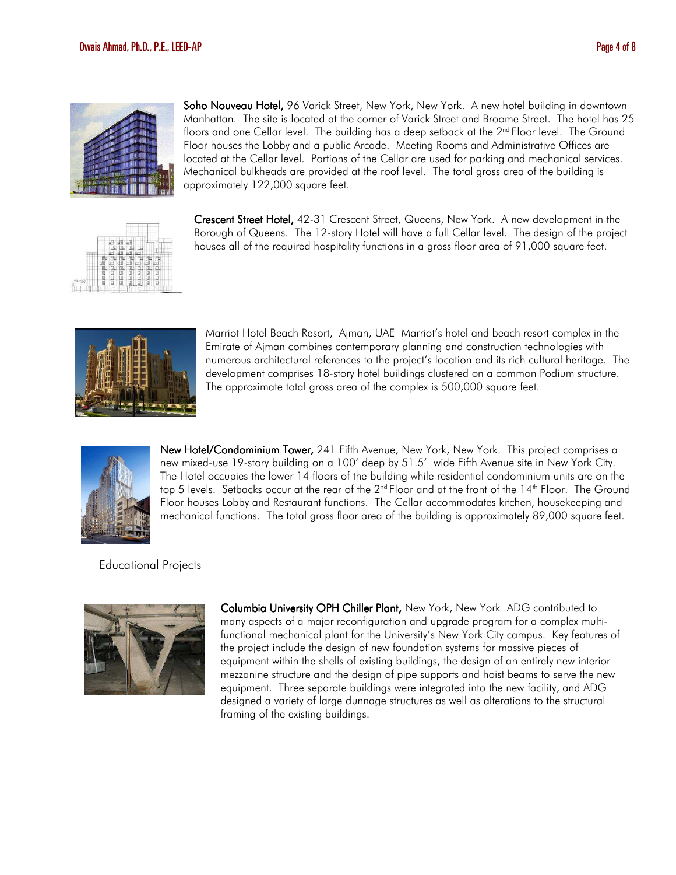

Soho Nouveau Hotel, 96 Varick Street, New York, New York. A new hotel building in downtown Manhattan. The site is located at the corner of Varick Street and Broome Street. The hotel has 25 floors and one Cellar level. The building has a deep setback at the 2<sup>nd</sup> Floor level. The Ground Floor houses the Lobby and a public Arcade. Meeting Rooms and Administrative Offices are located at the Cellar level. Portions of the Cellar are used for parking and mechanical services. Mechanical bulkheads are provided at the roof level. The total gross area of the building is approximately 122,000 square feet.



Crescent Street Hotel, 42-31 Crescent Street, Queens, New York. A new development in the Borough of Queens. The 12-story Hotel will have a full Cellar level. The design of the project houses all of the required hospitality functions in a gross floor area of 91,000 square feet.



Marriot Hotel Beach Resort, Ajman, UAE Marriot's hotel and beach resort complex in the Emirate of Ajman combines contemporary planning and construction technologies with numerous architectural references to the project's location and its rich cultural heritage. The development comprises 18-story hotel buildings clustered on a common Podium structure. The approximate total gross area of the complex is 500,000 square feet.



New Hotel/Condominium Tower, 241 Fifth Avenue, New York, New York. This project comprises a new mixed-use 19-story building on a 100' deep by 51.5' wide Fifth Avenue site in New York City. The Hotel occupies the lower 14 floors of the building while residential condominium units are on the top 5 levels. Setbacks occur at the rear of the 2<sup>nd</sup> Floor and at the front of the 14<sup>th</sup> Floor. The Ground Floor houses Lobby and Restaurant functions. The Cellar accommodates kitchen, housekeeping and mechanical functions. The total gross floor area of the building is approximately 89,000 square feet.

## Educational Projects



Columbia University OPH Chiller Plant, New York, New York ADG contributed to many aspects of a major reconfiguration and upgrade program for a complex multifunctional mechanical plant for the University's New York City campus. Key features of the project include the design of new foundation systems for massive pieces of equipment within the shells of existing buildings, the design of an entirely new interior mezzanine structure and the design of pipe supports and hoist beams to serve the new equipment. Three separate buildings were integrated into the new facility, and ADG designed a variety of large dunnage structures as well as alterations to the structural framing of the existing buildings.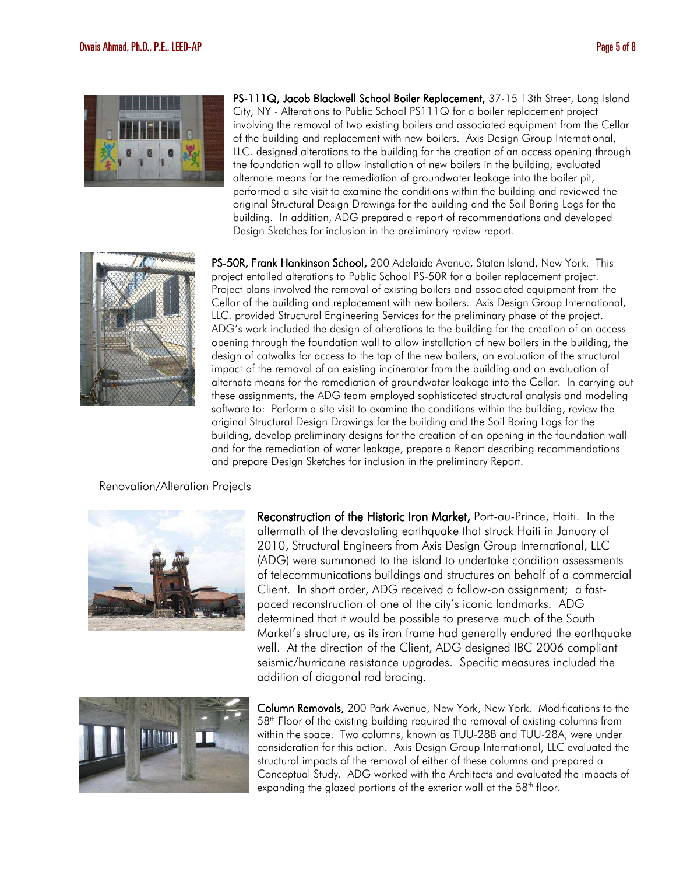

PS-111Q, Jacob Blackwell School Boiler Replacement, 37-15 13th Street, Long Island City, NY - Alterations to Public School PS111Q for a boiler replacement project involving the removal of two existing boilers and associated equipment from the Cellar of the building and replacement with new boilers. Axis Design Group International, LLC. designed alterations to the building for the creation of an access opening through the foundation wall to allow installation of new boilers in the building, evaluated alternate means for the remediation of groundwater leakage into the boiler pit, performed a site visit to examine the conditions within the building and reviewed the original Structural Design Drawings for the building and the Soil Boring Logs for the building. In addition, ADG prepared a report of recommendations and developed Design Sketches for inclusion in the preliminary review report.



PS-50R, Frank Hankinson School, 200 Adelaide Avenue, Staten Island, New York. This project entailed alterations to Public School PS-50R for a boiler replacement project. Project plans involved the removal of existing boilers and associated equipment from the Cellar of the building and replacement with new boilers. Axis Design Group International, LLC. provided Structural Engineering Services for the preliminary phase of the project. ADG's work included the design of alterations to the building for the creation of an access opening through the foundation wall to allow installation of new boilers in the building, the design of catwalks for access to the top of the new boilers, an evaluation of the structural impact of the removal of an existing incinerator from the building and an evaluation of alternate means for the remediation of groundwater leakage into the Cellar. In carrying out these assignments, the ADG team employed sophisticated structural analysis and modeling software to: Perform a site visit to examine the conditions within the building, review the original Structural Design Drawings for the building and the Soil Boring Logs for the building, develop preliminary designs for the creation of an opening in the foundation wall and for the remediation of water leakage, prepare a Report describing recommendations and prepare Design Sketches for inclusion in the preliminary Report.

#### Renovation/Alteration Projects



Reconstruction of the Historic Iron Market, Port-au-Prince, Haiti. In the aftermath of the devastating earthquake that struck Haiti in January of 2010, Structural Engineers from Axis Design Group International, LLC (ADG) were summoned to the island to undertake condition assessments of telecommunications buildings and structures on behalf of a commercial Client. In short order, ADG received a follow-on assignment; a fastpaced reconstruction of one of the city's iconic landmarks. ADG determined that it would be possible to preserve much of the South Market's structure, as its iron frame had generally endured the earthquake well. At the direction of the Client, ADG designed IBC 2006 compliant seismic/hurricane resistance upgrades. Specific measures included the addition of diagonal rod bracing.



Column Removals, 200 Park Avenue, New York, New York. Modifications to the  $58<sup>th</sup>$  Floor of the existing building required the removal of existing columns from within the space. Two columns, known as TUU-28B and TUU-28A, were under consideration for this action. Axis Design Group International, LLC evaluated the structural impacts of the removal of either of these columns and prepared a Conceptual Study. ADG worked with the Architects and evaluated the impacts of expanding the glazed portions of the exterior wall at the  $58<sup>th</sup>$  floor.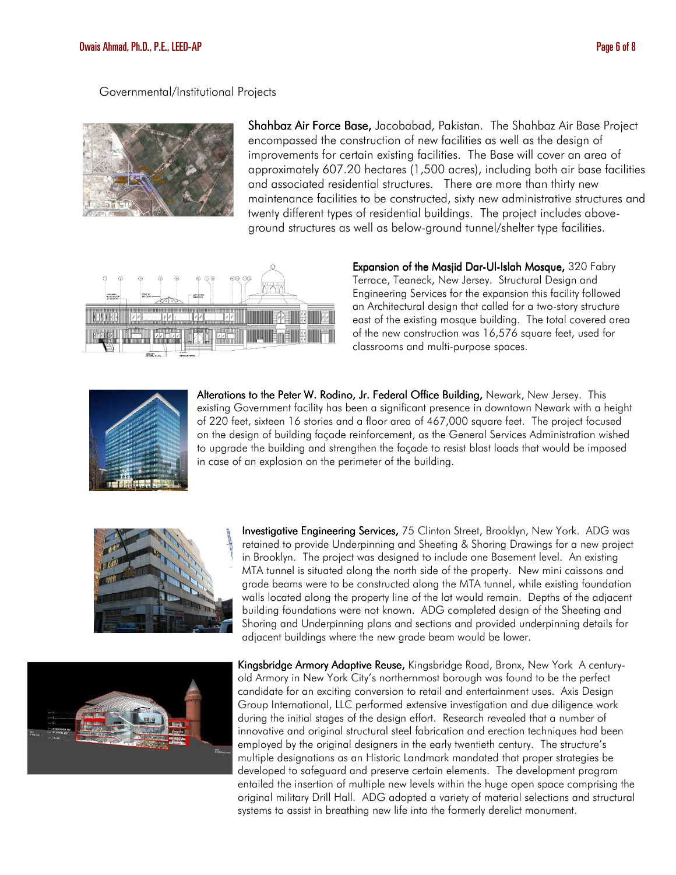### Governmental/Institutional Projects



Shahbaz Air Force Base, Jacobabad, Pakistan. The Shahbaz Air Base Project encompassed the construction of new facilities as well as the design of improvements for certain existing facilities. The Base will cover an area of approximately 607.20 hectares (1,500 acres), including both air base facilities and associated residential structures. There are more than thirty new maintenance facilities to be constructed, sixty new administrative structures and twenty different types of residential buildings. The project includes aboveground structures as well as below-ground tunnel/shelter type facilities.



Expansion of the Masjid Dar-Ul-Islah Mosque, 320 Fabry Terrace, Teaneck, New Jersey. Structural Design and Engineering Services for the expansion this facility followed an Architectural design that called for a two-story structure east of the existing mosque building. The total covered area of the new construction was 16,576 square feet, used for classrooms and multi-purpose spaces.



Alterations to the Peter W. Rodino, Jr. Federal Office Building, Newark, New Jersey. This existing Government facility has been a significant presence in downtown Newark with a height of 220 feet, sixteen 16 stories and a floor area of 467,000 square feet. The project focused on the design of building façade reinforcement, as the General Services Administration wished to upgrade the building and strengthen the façade to resist blast loads that would be imposed in case of an explosion on the perimeter of the building.



Investigative Engineering Services, 75 Clinton Street, Brooklyn, New York. ADG was retained to provide Underpinning and Sheeting & Shoring Drawings for a new project in Brooklyn. The project was designed to include one Basement level. An existing MTA tunnel is situated along the north side of the property. New mini caissons and grade beams were to be constructed along the MTA tunnel, while existing foundation walls located along the property line of the lot would remain. Depths of the adjacent building foundations were not known. ADG completed design of the Sheeting and Shoring and Underpinning plans and sections and provided underpinning details for adjacent buildings where the new grade beam would be lower.



Kingsbridge Armory Adaptive Reuse, Kingsbridge Road, Bronx, New York A centuryold Armory in New York City's northernmost borough was found to be the perfect candidate for an exciting conversion to retail and entertainment uses. Axis Design Group International, LLC performed extensive investigation and due diligence work during the initial stages of the design effort. Research revealed that a number of innovative and original structural steel fabrication and erection techniques had been employed by the original designers in the early twentieth century. The structure's multiple designations as an Historic Landmark mandated that proper strategies be developed to safeguard and preserve certain elements. The development program entailed the insertion of multiple new levels within the huge open space comprising the original military Drill Hall. ADG adopted a variety of material selections and structural systems to assist in breathing new life into the formerly derelict monument.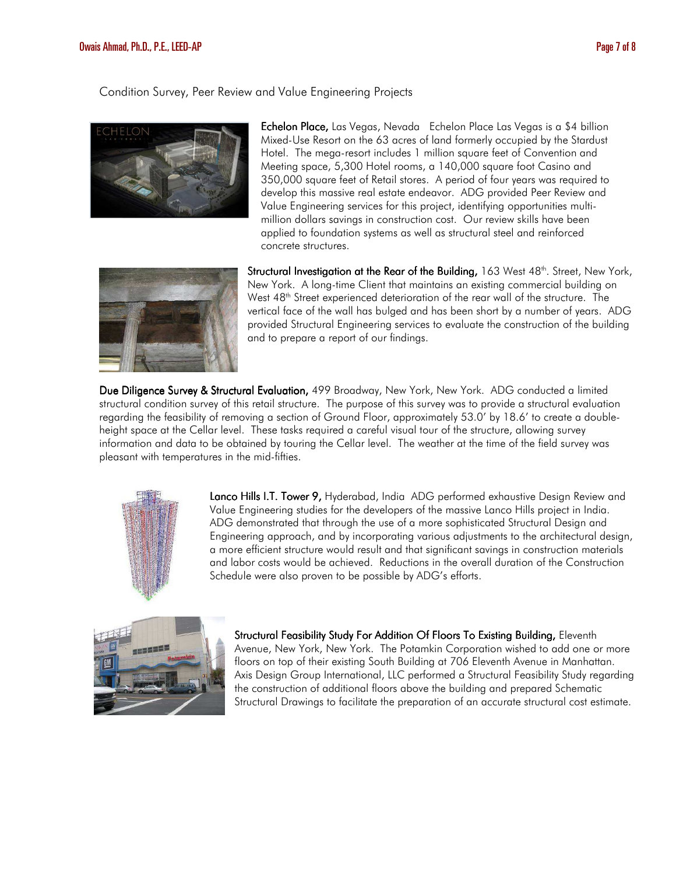Condition Survey, Peer Review and Value Engineering Projects



Echelon Place, Las Vegas, Nevada Echelon Place Las Vegas is a \$4 billion Mixed-Use Resort on the 63 acres of land formerly occupied by the Stardust Hotel. The mega-resort includes 1 million square feet of Convention and Meeting space, 5,300 Hotel rooms, a 140,000 square foot Casino and 350,000 square feet of Retail stores. A period of four years was required to develop this massive real estate endeavor. ADG provided Peer Review and Value Engineering services for this project, identifying opportunities multimillion dollars savings in construction cost. Our review skills have been applied to foundation systems as well as structural steel and reinforced concrete structures.



**Structural Investigation at the Rear of the Building,** 163 West 48<sup>th</sup>. Street, New York, New York. A long-time Client that maintains an existing commercial building on West 48<sup>th</sup> Street experienced deterioration of the rear wall of the structure. The vertical face of the wall has bulged and has been short by a number of years. ADG provided Structural Engineering services to evaluate the construction of the building and to prepare a report of our findings.

Due Diligence Survey & Structural Evaluation, 499 Broadway, New York, New York. ADG conducted a limited structural condition survey of this retail structure. The purpose of this survey was to provide a structural evaluation regarding the feasibility of removing a section of Ground Floor, approximately 53.0' by 18.6' to create a doubleheight space at the Cellar level. These tasks required a careful visual tour of the structure, allowing survey information and data to be obtained by touring the Cellar level. The weather at the time of the field survey was pleasant with temperatures in the mid-fifties.



Lanco Hills I.T. Tower 9, Hyderabad, India ADG performed exhaustive Design Review and Value Engineering studies for the developers of the massive Lanco Hills project in India. ADG demonstrated that through the use of a more sophisticated Structural Design and Engineering approach, and by incorporating various adjustments to the architectural design, a more efficient structure would result and that significant savings in construction materials and labor costs would be achieved. Reductions in the overall duration of the Construction Schedule were also proven to be possible by ADG's efforts.



Structural Feasibility Study For Addition Of Floors To Existing Building, Eleventh Avenue, New York, New York. The Potamkin Corporation wished to add one or more floors on top of their existing South Building at 706 Eleventh Avenue in Manhattan. Axis Design Group International, LLC performed a Structural Feasibility Study regarding the construction of additional floors above the building and prepared Schematic Structural Drawings to facilitate the preparation of an accurate structural cost estimate.